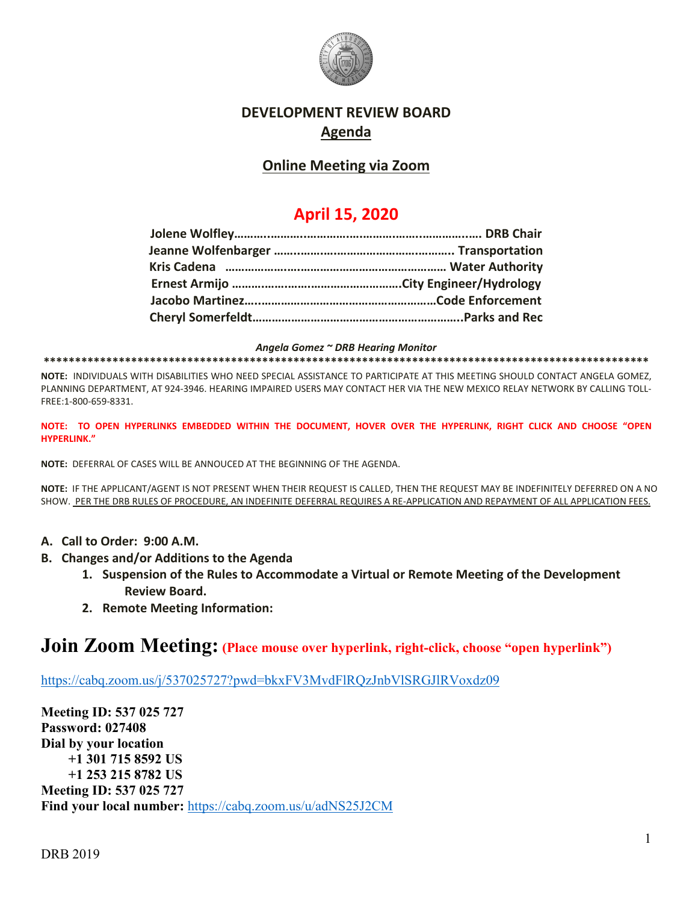

### **DEVELOPMENT REVIEW BOARD Agenda**

### **Online Meeting via Zoom**

# **April 15, 2020**

*Angela Gomez ~ DRB Hearing Monitor*

**\*\*\*\*\*\*\*\*\*\*\*\*\*\*\*\*\*\*\*\*\*\*\*\*\*\*\*\*\*\*\*\*\*\*\*\*\*\*\*\*\*\*\*\*\*\*\*\*\*\*\*\*\*\*\*\*\*\*\*\*\*\*\*\*\*\*\*\*\*\*\*\*\*\*\*\*\*\*\*\*\*\*\*\*\*\*\*\*\*\*\*\*\*\*\*\*\***

**NOTE:** INDIVIDUALS WITH DISABILITIES WHO NEED SPECIAL ASSISTANCE TO PARTICIPATE AT THIS MEETING SHOULD CONTACT ANGELA GOMEZ, PLANNING DEPARTMENT, AT 924-3946. HEARING IMPAIRED USERS MAY CONTACT HER VIA THE NEW MEXICO RELAY NETWORK BY CALLING TOLL-FREE:1-800-659-8331.

**NOTE: TO OPEN HYPERLINKS EMBEDDED WITHIN THE DOCUMENT, HOVER OVER THE HYPERLINK, RIGHT CLICK AND CHOOSE "OPEN HYPERLINK."**

**NOTE:** DEFERRAL OF CASES WILL BE ANNOUCED AT THE BEGINNING OF THE AGENDA.

**NOTE:** IF THE APPLICANT/AGENT IS NOT PRESENT WHEN THEIR REQUEST IS CALLED, THEN THE REQUEST MAY BE INDEFINITELY DEFERRED ON A NO SHOW. PER THE DRB RULES OF PROCEDURE, AN INDEFINITE DEFERRAL REQUIRES A RE-APPLICATION AND REPAYMENT OF ALL APPLICATION FEES.

- **A. Call to Order: 9:00 A.M.**
- **B. Changes and/or Additions to the Agenda**
	- **1. Suspension of the Rules to Accommodate a Virtual or Remote Meeting of the Development Review Board.**
	- **2. Remote Meeting Information:**

# **Join Zoom Meeting: (Place mouse over hyperlink, right-click, choose "open hyperlink")**

<https://cabq.zoom.us/j/537025727?pwd=bkxFV3MvdFlRQzJnbVlSRGJlRVoxdz09>

**Meeting ID: 537 025 727 Password: 027408 Dial by your location +1 301 715 8592 US +1 253 215 8782 US Meeting ID: 537 025 727 Find your local number:** <https://cabq.zoom.us/u/adNS25J2CM>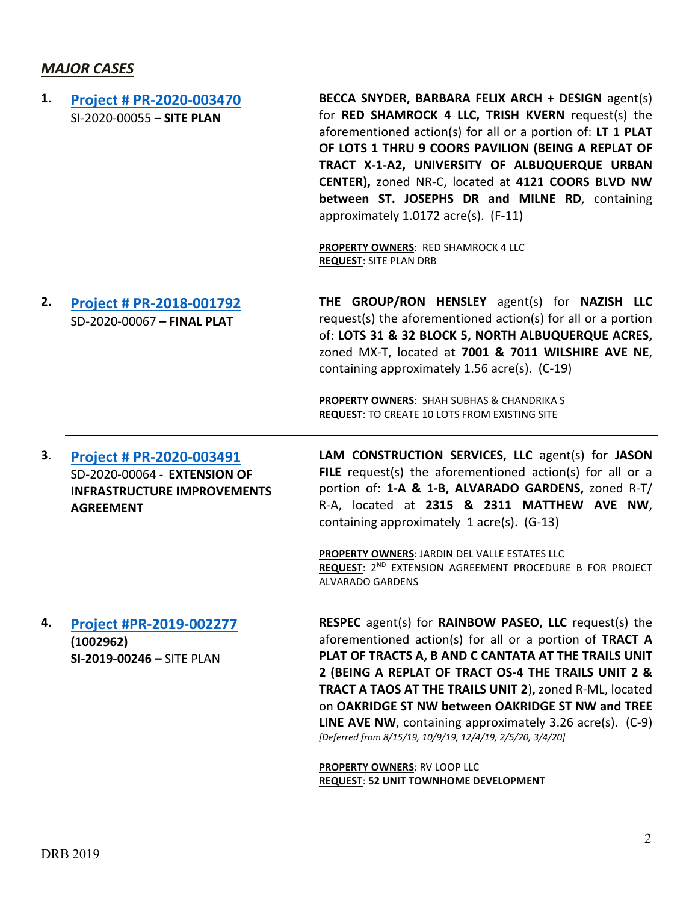## *MAJOR CASES*

| 1. | <b>Project # PR-2020-003470</b><br>SI-2020-00055 - SITE PLAN                                                              | BECCA SNYDER, BARBARA FELIX ARCH + DESIGN agent(s)<br>for RED SHAMROCK 4 LLC, TRISH KVERN request(s) the<br>aforementioned action(s) for all or a portion of: LT 1 PLAT<br>OF LOTS 1 THRU 9 COORS PAVILION (BEING A REPLAT OF<br>TRACT X-1-A2, UNIVERSITY OF ALBUQUERQUE URBAN<br>CENTER), zoned NR-C, located at 4121 COORS BLVD NW<br>between ST. JOSEPHS DR and MILNE RD, containing<br>approximately 1.0172 acre(s). (F-11)<br><b>PROPERTY OWNERS: RED SHAMROCK 4 LLC</b><br><b>REQUEST: SITE PLAN DRB</b> |
|----|---------------------------------------------------------------------------------------------------------------------------|----------------------------------------------------------------------------------------------------------------------------------------------------------------------------------------------------------------------------------------------------------------------------------------------------------------------------------------------------------------------------------------------------------------------------------------------------------------------------------------------------------------|
| 2. | <b>Project # PR-2018-001792</b><br>SD-2020-00067 - FINAL PLAT                                                             | THE GROUP/RON HENSLEY agent(s) for NAZISH LLC<br>request(s) the aforementioned action(s) for all or a portion<br>of: LOTS 31 & 32 BLOCK 5, NORTH ALBUQUERQUE ACRES,<br>zoned MX-T, located at 7001 & 7011 WILSHIRE AVE NE,<br>containing approximately 1.56 acre(s). (C-19)<br>PROPERTY OWNERS: SHAH SUBHAS & CHANDRIKA S<br><b>REQUEST: TO CREATE 10 LOTS FROM EXISTING SITE</b>                                                                                                                              |
| 3. | <b>Project # PR-2020-003491</b><br>SD-2020-00064 - EXTENSION OF<br><b>INFRASTRUCTURE IMPROVEMENTS</b><br><b>AGREEMENT</b> | LAM CONSTRUCTION SERVICES, LLC agent(s) for JASON<br>FILE request(s) the aforementioned action(s) for all or a<br>portion of: 1-A & 1-B, ALVARADO GARDENS, zoned R-T/<br>R-A, located at 2315 & 2311 MATTHEW AVE NW,<br>containing approximately 1 acre(s). (G-13)<br>PROPERTY OWNERS: JARDIN DEL VALLE ESTATES LLC<br>REQUEST: 2ND EXTENSION AGREEMENT PROCEDURE B FOR PROJECT<br><b>ALVARADO GARDENS</b>                                                                                                     |
| 4. | Project #PR-2019-002277<br>(1002962)<br>SI-2019-00246 - SITE PLAN                                                         | <b>RESPEC</b> agent(s) for <b>RAINBOW PASEO, LLC</b> request(s) the<br>aforementioned action(s) for all or a portion of TRACT A<br>PLAT OF TRACTS A, B AND C CANTATA AT THE TRAILS UNIT<br>2 (BEING A REPLAT OF TRACT OS-4 THE TRAILS UNIT 2 &<br>TRACT A TAOS AT THE TRAILS UNIT 2), zoned R-ML, located<br>on OAKRIDGE ST NW between OAKRIDGE ST NW and TREE<br>LINE AVE NW, containing approximately 3.26 acre(s). (C-9)<br>[Deferred from 8/15/19, 10/9/19, 12/4/19, 2/5/20, 3/4/20]                       |

**PROPERTY OWNERS**: RV LOOP LLC **REQUEST**: **52 UNIT TOWNHOME DEVELOPMENT**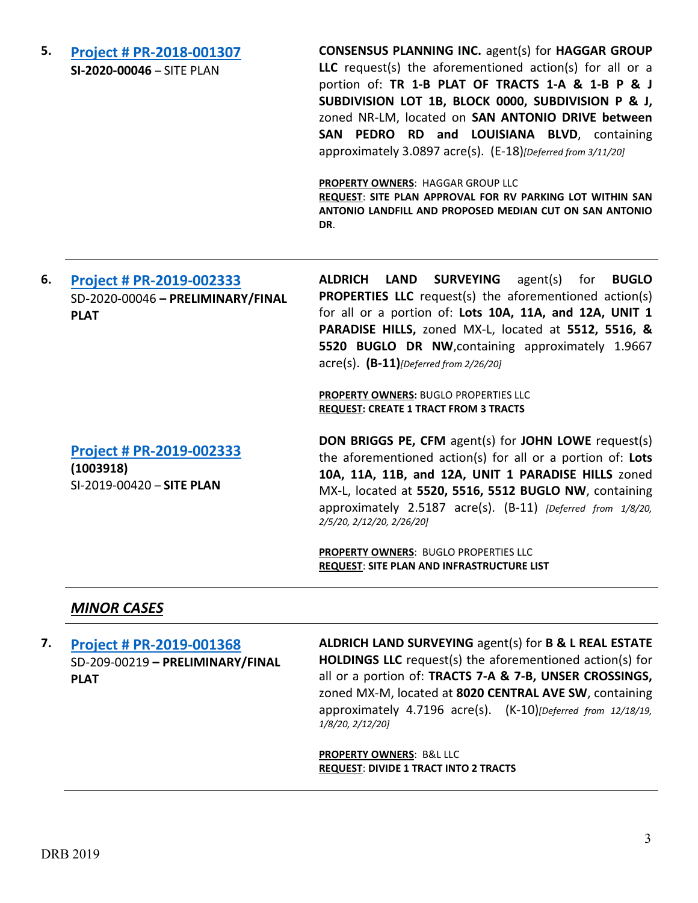| 5. | <b>Project # PR-2018-001307</b><br>SI-2020-00046 - SITE PLAN                        | <b>CONSENSUS PLANNING INC. agent(s) for HAGGAR GROUP</b><br>LLC request(s) the aforementioned action(s) for all or a<br>portion of: TR 1-B PLAT OF TRACTS 1-A & 1-B P & J<br>SUBDIVISION LOT 1B, BLOCK 0000, SUBDIVISION P & J,<br>zoned NR-LM, located on SAN ANTONIO DRIVE between<br>RD and LOUISIANA BLVD, containing<br><b>SAN</b><br><b>PEDRO</b><br>approximately 3.0897 acre(s). (E-18)[Deferred from 3/11/20]<br>PROPERTY OWNERS: HAGGAR GROUP LLC<br>REQUEST: SITE PLAN APPROVAL FOR RV PARKING LOT WITHIN SAN<br>ANTONIO LANDFILL AND PROPOSED MEDIAN CUT ON SAN ANTONIO<br>DR. |
|----|-------------------------------------------------------------------------------------|--------------------------------------------------------------------------------------------------------------------------------------------------------------------------------------------------------------------------------------------------------------------------------------------------------------------------------------------------------------------------------------------------------------------------------------------------------------------------------------------------------------------------------------------------------------------------------------------|
| 6. | <b>Project # PR-2019-002333</b><br>SD-2020-00046 - PRELIMINARY/FINAL<br><b>PLAT</b> | <b>ALDRICH</b><br><b>LAND</b><br><b>SURVEYING</b><br>agent(s)<br>for<br><b>BUGLO</b><br><b>PROPERTIES LLC</b> request(s) the aforementioned action(s)<br>for all or a portion of: Lots 10A, 11A, and 12A, UNIT 1<br>PARADISE HILLS, zoned MX-L, located at 5512, 5516, &<br>5520 BUGLO DR NW, containing approximately 1.9667<br>$\text{acre}(s)$ . $\text{(B-11)}$ [Deferred from 2/26/20]                                                                                                                                                                                                |
|    |                                                                                     | PROPERTY OWNERS: BUGLO PROPERTIES LLC<br><b>REQUEST: CREATE 1 TRACT FROM 3 TRACTS</b>                                                                                                                                                                                                                                                                                                                                                                                                                                                                                                      |
|    | Project # PR-2019-002333<br>(1003918)<br>SI-2019-00420 - SITE PLAN                  | DON BRIGGS PE, CFM agent(s) for JOHN LOWE request(s)<br>the aforementioned action(s) for all or a portion of: Lots<br>10A, 11A, 11B, and 12A, UNIT 1 PARADISE HILLS zoned<br>MX-L, located at 5520, 5516, 5512 BUGLO NW, containing<br>approximately 2.5187 acre(s). (B-11) [Deferred from 1/8/20,<br>2/5/20, 2/12/20, 2/26/20]                                                                                                                                                                                                                                                            |
|    |                                                                                     | PROPERTY OWNERS: BUGLO PROPERTIES LLC<br><b>REQUEST: SITE PLAN AND INFRASTRUCTURE LIST</b>                                                                                                                                                                                                                                                                                                                                                                                                                                                                                                 |

#### *MINOR CASES*

**7. [Project # PR-2019-001368](http://data.cabq.gov/government/planning/DRB/PR-2018-001368/DRB%20Submittals/)** SD-209-00219 **– PRELIMINARY/FINAL PLAT ALDRICH LAND SURVEYING** agent(s) for **B & L REAL ESTATE HOLDINGS LLC** request(s) the aforementioned action(s) for all or a portion of: **TRACTS 7-A & 7-B, UNSER CROSSINGS,**  zoned MX-M, located at **8020 CENTRAL AVE SW**, containing approximately 4.7196 acre(s). (K-10)*[Deferred from 12/18/19,* 

> *1/8/20, 2/12/20]* **PROPERTY OWNERS**: B&L LLC

**REQUEST**: **DIVIDE 1 TRACT INTO 2 TRACTS**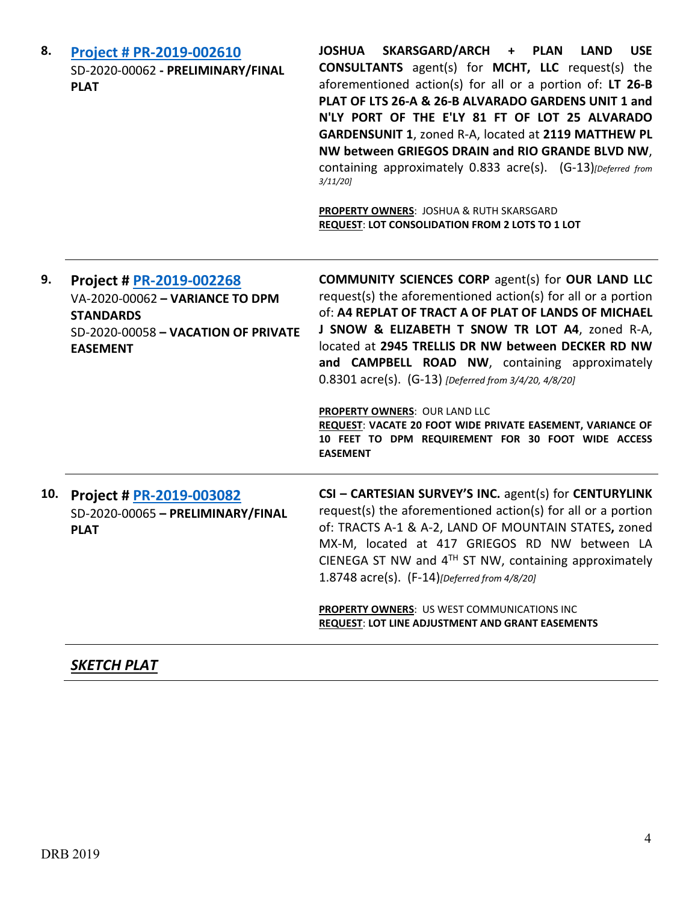| 8.  | <b>Project # PR-2019-002610</b><br>SD-2020-00062 - PRELIMINARY/FINAL<br><b>PLAT</b>                                                       | SKARSGARD/ARCH + PLAN<br><b>JOSHUA</b><br><b>LAND</b><br><b>USE</b><br><b>CONSULTANTS</b> agent(s) for MCHT, LLC request(s) the<br>aforementioned action(s) for all or a portion of: LT 26-B<br>PLAT OF LTS 26-A & 26-B ALVARADO GARDENS UNIT 1 and<br>N'LY PORT OF THE E'LY 81 FT OF LOT 25 ALVARADO<br>GARDENSUNIT 1, zoned R-A, located at 2119 MATTHEW PL<br>NW between GRIEGOS DRAIN and RIO GRANDE BLVD NW,<br>containing approximately 0.833 acre(s). (G-13) [Deferred from<br>3/11/20<br>PROPERTY OWNERS: JOSHUA & RUTH SKARSGARD<br>REQUEST: LOT CONSOLIDATION FROM 2 LOTS TO 1 LOT |
|-----|-------------------------------------------------------------------------------------------------------------------------------------------|----------------------------------------------------------------------------------------------------------------------------------------------------------------------------------------------------------------------------------------------------------------------------------------------------------------------------------------------------------------------------------------------------------------------------------------------------------------------------------------------------------------------------------------------------------------------------------------------|
| 9.  | Project # PR-2019-002268<br>VA-2020-00062 - VARIANCE TO DPM<br><b>STANDARDS</b><br>SD-2020-00058 - VACATION OF PRIVATE<br><b>EASEMENT</b> | <b>COMMUNITY SCIENCES CORP agent(s) for OUR LAND LLC</b><br>request(s) the aforementioned action(s) for all or a portion<br>of: A4 REPLAT OF TRACT A OF PLAT OF LANDS OF MICHAEL<br>J SNOW & ELIZABETH T SNOW TR LOT A4, zoned R-A,<br>located at 2945 TRELLIS DR NW between DECKER RD NW<br>and CAMPBELL ROAD NW, containing approximately<br>0.8301 acre(s). (G-13) [Deferred from 3/4/20, 4/8/20]<br>PROPERTY OWNERS: OUR LAND LLC<br>REQUEST: VACATE 20 FOOT WIDE PRIVATE EASEMENT, VARIANCE OF<br>10 FEET TO DPM REQUIREMENT FOR 30 FOOT WIDE ACCESS<br><b>EASEMENT</b>                 |
| 10. | Project # PR-2019-003082<br>SD-2020-00065 - PRELIMINARY/FINAL<br><b>PLAT</b>                                                              | CSI - CARTESIAN SURVEY'S INC. agent(s) for CENTURYLINK<br>request(s) the aforementioned action(s) for all or a portion<br>of: TRACTS A-1 & A-2, LAND OF MOUNTAIN STATES, zoned<br>MX-M, located at 417 GRIEGOS RD NW between LA<br>CIENEGA ST NW and 4TH ST NW, containing approximately<br>1.8748 acre(s). (F-14)[Deferred from 4/8/20]<br>PROPERTY OWNERS: US WEST COMMUNICATIONS INC<br><b>REQUEST: LOT LINE ADJUSTMENT AND GRANT EASEMENTS</b>                                                                                                                                           |

## *SKETCH PLAT*